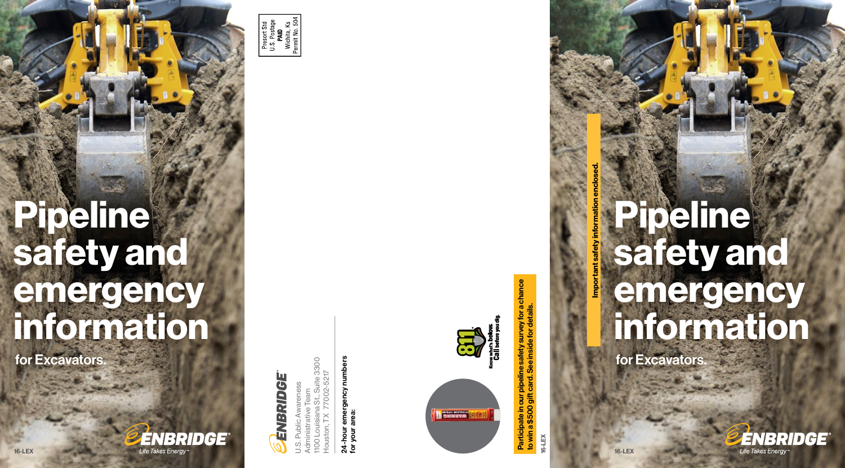Important safety information enclosed. mportant safety information enclosed

# For more information about Enbridge pipelines in your area, including location, contents and size, please contact us. To have pipelines and other buried utilities located before  $\rightarrow$  1  $\rightarrow$  1  $\rightarrow$  1  $\rightarrow$  1 **can com If you experience a pipeline a pipeline a pipeline a pipeline a pipeline a pipeline a pipeline a pipeline** emergency, first call 911, then call Engris C to emergency number of your area. Se adjunta información de seguridad información de seguridad información de seguridad importante en la página USpublicawareness @enbridge.com Mail **Public Awareness** Program Coordinator 1100 Louisiana, Suite 3300 Louisiana, Houston, TX 77002 Website enbridge.com/USpublication/USpublication/USpublication/USpublication/USpublication/USpublication/USpublication safety and emergency Pipeline information

for Excavators.

Pipeline safety:

This brochure is meant specifically for anyone in your company involved in grounddisturbing activities such as excavation, construction, construction, development, utility installation, utility installation, utility installation, utility installation, utility installation, utility is a strategy of the contract of the contract of the contract of the contract of the contra

oil and gas production, logging, railroad maintenance and anchoring or dredging  $\mathcal{C}$  or the state and  $\mathcal{C}$ making decisions on any of those activities. Please read and share this important safety information.

A shared responsibility



How you can reach us (non-emergencies only): Public Awareness Hotliness

800.858

24-hour emergency number for your area

877.799.2650

 $E = \frac{1}{2}$ 

Land Services Hotline 866.331.349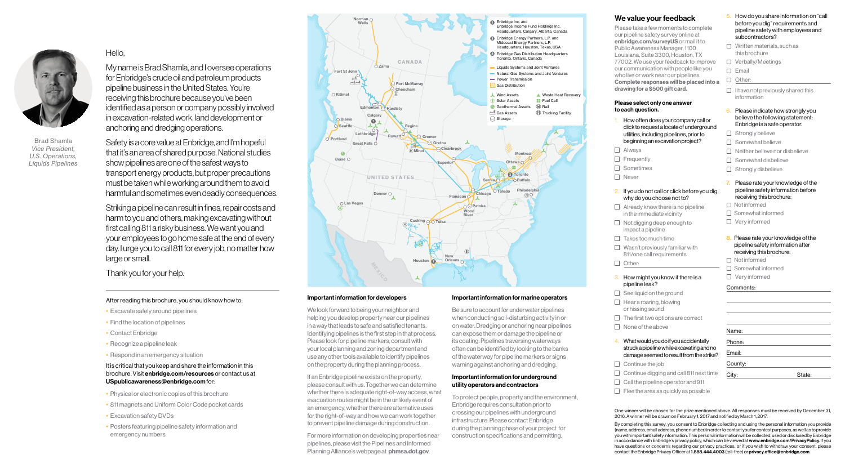

Brad Shamla *Vice President, U.S. Operations, Liquids Pipelines* Hello,

My name is Brad Shamla, and I oversee operations for Enbridge's crude oil and petroleum products pipeline business in the United States. You're receiving this brochure because you've been identified as a person or company possibly involved in excavation-related work, land development or anchoring and dredging operations.

Safety is a core value at Enbridge, and I'm hopeful that it's an area of shared purpose. National studies show pipelines are one of the safest ways to transport energy products, but proper precautions must be taken while working around them to avoid harmful and sometimes even deadly consequences.

Striking a pipeline can result in fines, repair costs and harm to you and others, making excavating without first calling 811 a risky business. We want you and your employees to go home safe at the end of every day. I urge you to call 811 for every job, no matter how large or small.

Thank you for your help.

#### After reading this brochure, you should know how to:

- Excavate safely around pipelines
- Find the location of pipelines
- Contact Enbridge
- Recognize a pipeline leak
- Respond in an emergency situation

# It is critical that you keep and share the information in this brochure. Visit enbridge.com/resources or contact us at USpublicawareness@enbridge.com for:

- Physical or electronic copies of this brochure
- 811 magnets and Uniform Color Code pocket cards
- Excavation safety DVDs
- Posters featuring pipeline safety information and emergency numbers



#### Important information for developers

We look forward to being your neighbor and helping you develop property near our pipelines in a way that leads to safe and satisfied tenants. Identifying pipelines is the first step in that process. Please look for pipeline markers, consult with your local planning and zoning department and use any other tools available to identify pipelines on the property during the planning process.

If an Enbridge pipeline exists on the property, please consult with us. Together we can determine whether there is adequate right-of-way access, what evacuation routes might be in the unlikely event of an emergency, whether there are alternative uses for the right-of-way and how we can work together to prevent pipeline damage during construction.

For more information on developing properties near pipelines, please visit the Pipelines and Informed Planning Alliance's webpage at phmsa.dot.gov.

#### Important information for marine operators

Be sure to account for underwater pipelines when conducting soil-disturbing activity in or on water. Dredging or anchoring near pipelines can expose them or damage the pipeline or its coating. Pipelines traversing waterways often can be identified by looking to the banks of the waterway for pipeline markers or signs warning against anchoring and dredging.

#### Important information for underground utility operators and contractors

To protect people, property and the environment, Enbridge requires consultation prior to crossing our pipelines with underground infrastructure. Please contact Enbridge during the planning phase of your project for construction specifications and permitting.

# We value your feedback

Please take a few moments to complete our pipeline safety survey online at enbridge.com/surveyUS or mail it to Public Awareness Manager, 1100 Louisiana, Suite 3300, Houston, TX 77002. We use your feedback to improve our communication with people like you who live or work near our pipelines. Complete responses will be placed into a drawing for a \$500 gift card. Please select only one answer to each question. 1. How often does your company call or click to request a locate of underground utilities, including pipelines, prior to □ Verbally/Meetings

6. Please indicate how strongly you believe the following statement: Enbridge is a safe operator.  $\Box$  Strongly believe

7. Please rate your knowledge of the pipeline safety information before receiving this brochure:

8. Please rate your knowledge of the pipeline safety information after receiving this brochure:

 $\Box$  I have not previously shared this

5. How do you share information on "call before you dig" requirements and pipeline safety with employees and

subcontractors?  $\Box$  Written materials, such as this brochure

 $\Box$  Email □ Other:

- $\Box$  Somewhat believe  $\Box$  Neither believe nor disbelieve
- $\Box$  Somewhat disbelieve

information

 $\Box$  Strongly disbelieve

□ Not informed  $\Box$  Somewhat informed □ Vervinformed

□ Not informed  $\Box$  Somewhat informed □ Very informed Comments:

□ Sometimes **George Mever** 

Liquids Systems and Joint Ventures Natural Gas Systems and Joint Ventures beginning an excavation project?

Solar Assets

**Power Transmission** D Frequently

#### 2. If you do not call or click before you dig. why do you choose not to?

### $\Box$  Already know there is no pipeline in the immediate vicinity

- $\Box$  Not digging deep enough to impact a pipeline
- $\Box$  Takes too much time  $\Box$  Wasn't previously familiar with 811/one call requirements
- □ Other:

#### 3. How might you know if there is a pipeline leak?

- $\Box$  See liquid on the ground  $\Box$  Hear a roaring, blowing
- or hissing sound
- $\Box$  The first two options are correct
- $\Box$  None of the above
- 4. What would you do if you accidentally
	- struck a pipeline while excavating and no damage seemed to result from the strike?
- $\Box$  Continue the job
- $\Box$  Continue digging and call 811 next time  $\Box$  Call the pipeline operator and 911
- City: State:
- $\Box$  Flee the area as quickly as possible

One winner will be chosen for the prize mentioned above. All responses must be received by December 31, 2016. A winner will be drawn on February 1, 2017 and notified by March 1, 2017.

l

Name: Phone: Email: County:

By completing this survey, you consent to Enbridge collecting and using the personal information you provide (name, address, email address, phone number) in order to contact you for contest purposes, as well as to provide you with important safety information. This personal information will be collected, used or disclosed by Enbridge in accordance with Enbridge's privacy policy, which can be viewed at www.enbridge.com/PrivacyPolicy. If you have questions or concerns regarding our privacy practices, or if you wish to withdraw your consent, please contact the Enbridge Privacy Officer at 1.888.444.4003 (toll-free) or privacy.office@enbridge.com.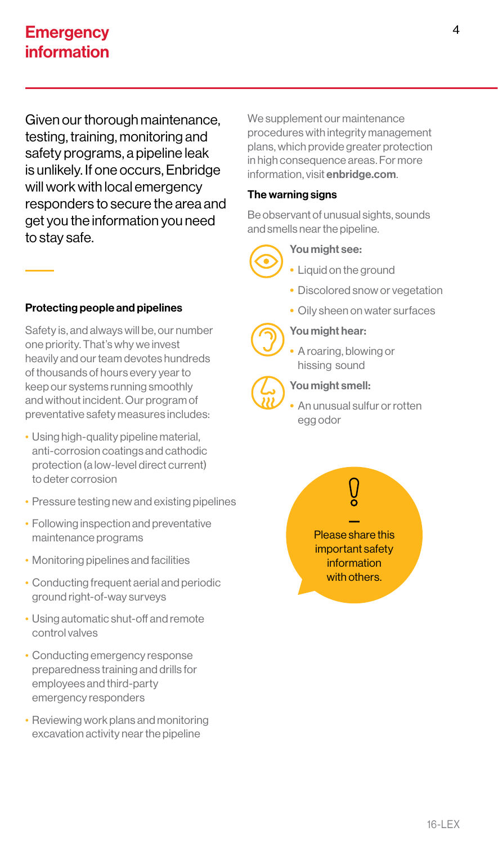# **Emergency** information

Given our thorough maintenance, testing, training, monitoring and safety programs, a pipeline leak is unlikely. If one occurs, Enbridge will work with local emergency responders to secure the area and get you the information you need to stay safe.

# Protecting people and pipelines

Safety is, and always will be, our number one priority. That's why we invest heavily and our team devotes hundreds of thousands of hours every year to keep our systems running smoothly and without incident. Our program of preventative safety measures includes:

- Using high-quality pipeline material, anti-corrosion coatings and cathodic protection (a low-level direct current) to deter corrosion
- Pressure testing new and existing pipelines
- Following inspection and preventative maintenance programs
- Monitoring pipelines and facilities
- Conducting frequent aerial and periodic ground right-of-way surveys
- Using automatic shut-off and remote control valves
- Conducting emergency response preparedness training and drills for employees and third-party emergency responders
- Reviewing work plans and monitoring excavation activity near the pipeline

We supplement our maintenance procedures with integrity management plans, which provide greater protection in high consequence areas. For more information, visit enbridge.com.

# The warning signs

Be observant of unusual sights, sounds and smells near the pipeline.



# You might see:

- Liquid on the ground
	- Discolored snow or vegetation
	- Oily sheen on water surfaces

# You might hear:

• A roaring, blowing or hissing sound



# You might smell:

• An unusual sulfur or rotten egg odor

— Please share this important safety information with others.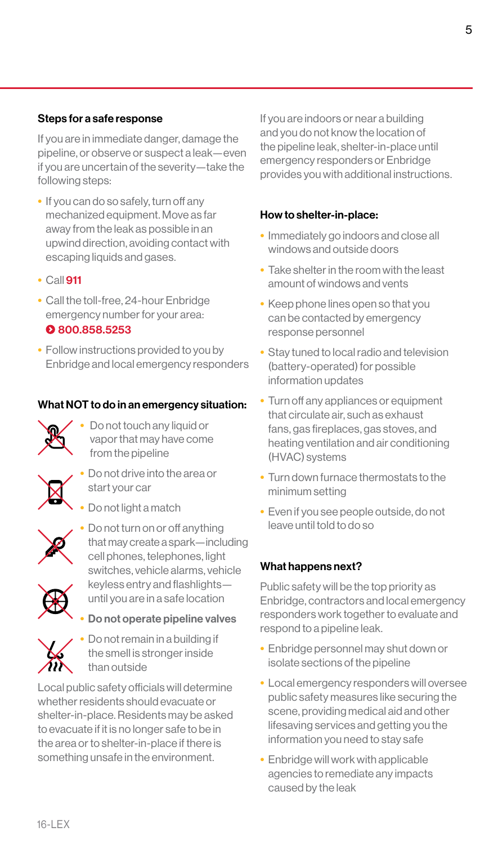## Steps for a safe response

If you are in immediate danger, damage the pipeline, or observe or suspect a leak—even if you are uncertain of the severity—take the following steps:

- If you can do so safely, turn off any mechanized equipment. Move as far away from the leak as possible in an upwind direction, avoiding contact with escaping liquids and gases.
- Call 911
- Call the toll-free, 24-hour Enbridge emergency number for your area:

# 800.858.5253

• Follow instructions provided to you by Enbridge and local emergency responders

#### What NOT to do in an emergency situation:

- 
- Do not touch any liquid or vapor that may have come from the pipeline
- 
- Do not drive into the area or start your car
- Do not light a match



• Do not turn on or off anything that may create a spark—including cell phones, telephones, light switches, vehicle alarms, vehicle keyless entry and flashlights until you are in a safe location

• Do not operate pipeline valves



• Do not remain in a building if the smell is stronger inside than outside

Local public safety officials will determine whether residents should evacuate or shelter-in-place. Residents may be asked to evacuate if it is no longer safe to be in the area or to shelter-in-place if there is something unsafe in the environment.

If you are indoors or near a building and you do not know the location of the pipeline leak, shelter-in-place until emergency responders or Enbridge provides you with additional instructions.

## How to shelter-in-place:

- Immediately go indoors and close all windows and outside doors
- Take shelter in the room with the least amount of windows and vents
- Keep phone lines open so that you can be contacted by emergency response personnel
- Stay tuned to local radio and television (battery-operated) for possible information updates
- Turn off any appliances or equipment that circulate air, such as exhaust fans, gas fireplaces, gas stoves, and heating ventilation and air conditioning (HVAC) systems
- Turn down furnace thermostats to the minimum setting
- Even if you see people outside, do not leave until told to do so

# What happens next?

Public safety will be the top priority as Enbridge, contractors and local emergency responders work together to evaluate and respond to a pipeline leak.

- Enbridge personnel may shut down or isolate sections of the pipeline
- Local emergency responders will oversee public safety measures like securing the scene, providing medical aid and other lifesaving services and getting you the information you need to stay safe
- Enbridge will work with applicable agencies to remediate any impacts caused by the leak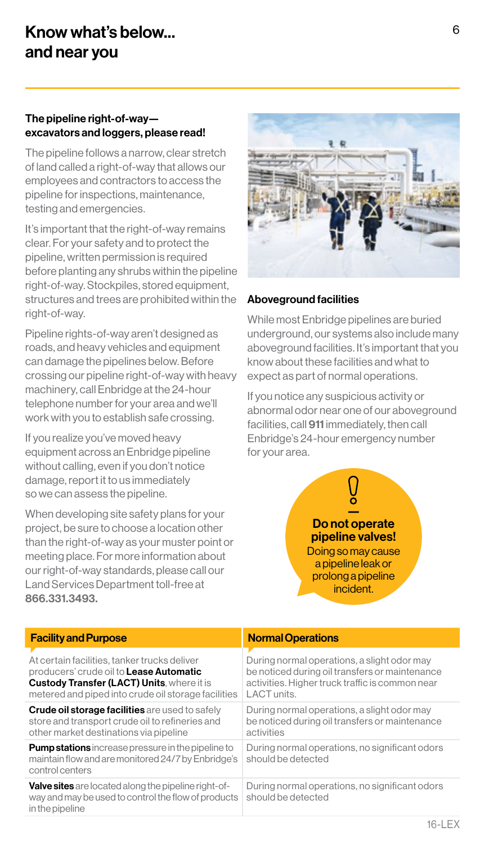# The pipeline right-of-way excavators and loggers, please read!

The pipeline follows a narrow, clear stretch of land called a right-of-way that allows our employees and contractors to access the pipeline for inspections, maintenance, testing and emergencies.

It's important that the right-of-way remains clear. For your safety and to protect the pipeline, written permission is required before planting any shrubs within the pipeline right-of-way. Stockpiles, stored equipment, structures and trees are prohibited within the right-of-way.

Pipeline rights-of-way aren't designed as roads, and heavy vehicles and equipment can damage the pipelines below. Before crossing our pipeline right-of-way with heavy machinery, call Enbridge at the 24-hour telephone number for your area and we'll work with you to establish safe crossing.

If you realize you've moved heavy equipment across an Enbridge pipeline without calling, even if you don't notice damage, report it to us immediately so we can assess the pipeline.

When developing site safety plans for your project, be sure to choose a location other than the right-of-way as your muster point or meeting place. For more information about our right-of-way standards, please call our Land Services Department toll-free at 866.331.3493.



## Aboveground facilities

While most Enbridge pipelines are buried underground, our systems also include many aboveground facilities. It's important that you know about these facilities and what to expect as part of normal operations.

If you notice any suspicious activity or abnormal odor near one of our aboveground facilities, call 911 immediately, then call Enbridge's 24-hour emergency number for your area.

Do not operate pipeline valves! Doing so may cause a pipeline leak or prolong a pipeline

incident.

**Facility and Purpose Normal Operations** At certain facilities, tanker trucks deliver producers' crude oil to Lease Automatic Custody Transfer (LACT) Units, where it is metered and piped into crude oil storage facilities During normal operations, a slight odor may be noticed during oil transfers or maintenance activities. Higher truck traffic is common near LACT units. **Crude oil storage facilities** are used to safely store and transport crude oil to refineries and other market destinations via pipeline During normal operations, a slight odor may be noticed during oil transfers or maintenance activities **Pump stations** increase pressure in the pipeline to maintain flow and are monitored 24/7 by Enbridge's control centers During normal operations, no significant odors should be detected Valve sites are located along the pipeline right-ofway and may be used to control the flow of products in the pipeline During normal operations, no significant odors should be detected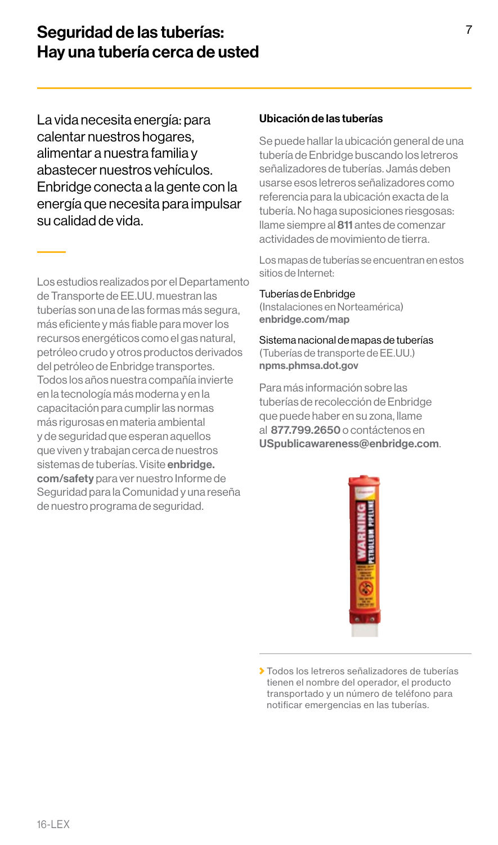# Seguridad de las tuberías: Hay una tubería cerca de usted

La vida necesita energía: para calentar nuestros hogares, alimentar a nuestra familia y abastecer nuestros vehículos. Enbridge conecta a la gente con la energía que necesita para impulsar su calidad de vida.

Los estudios realizados por el Departamento de Transporte de EE.UU. muestran las tuberías son una de las formas más segura, más eficiente y más fiable para mover los recursos energéticos como el gas natural, petróleo crudo y otros productos derivados del petróleo de Enbridge transportes. Todos los años nuestra compañía invierte en la tecnología más moderna y en la capacitación para cumplir las normas más rigurosas en materia ambiental y de seguridad que esperan aquellos que viven y trabajan cerca de nuestros sistemas de tuberías. Visite enbridge. com/safety para ver nuestro Informe de Seguridad para la Comunidad y una reseña de nuestro programa de seguridad.

#### Ubicación de las tuberías

Se puede hallar la ubicación general de una tubería de Enbridge buscando los letreros señalizadores de tuberías. Jamás deben usarse esos letreros señalizadores como referencia para la ubicación exacta de la tubería. No haga suposiciones riesgosas: llame siempre al 811 antes de comenzar actividades de movimiento de tierra.

Los mapas de tuberías se encuentran en estos sitios de Internet:

#### Tuberías de Enbridge

(Instalaciones en Norteamérica) enbridge.com/map

Sistema nacional de mapas de tuberías (Tuberías de transporte de EE.UU.) npms.phmsa.dot.gov

Para más información sobre las tuberías de recolección de Enbridge que puede haber en su zona, llame al 877.799.2650 o contáctenos en USpublicawareness@enbridge.com.



Todos los letreros señalizadores de tuberías tienen el nombre del operador, el producto transportado y un número de teléfono para notificar emergencias en las tuberías.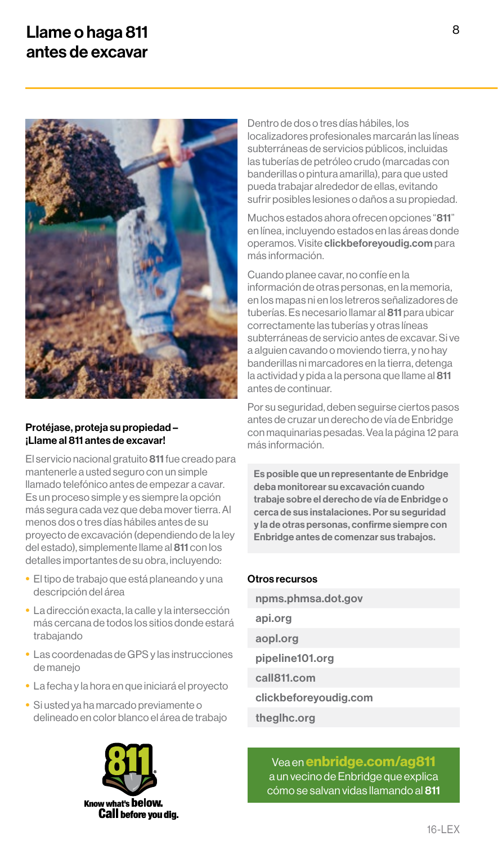# Llame o haga 811 antes de excavar



#### Protéjase, proteja su propiedad – ¡Llame al 811 antes de excavar!

El servicio nacional gratuito 811 fue creado para mantenerle a usted seguro con un simple llamado telefónico antes de empezar a cavar. Es un proceso simple y es siempre la opción más segura cada vez que deba mover tierra. Al menos dos o tres días hábiles antes de su proyecto de excavación (dependiendo de la ley del estado), simplemente llame al 811 con los detalles importantes de su obra, incluyendo:

- El tipo de trabajo que está planeando y una descripción del área
- La dirección exacta, la calle y la intersección más cercana de todos los sitios donde estará trabajando
- Las coordenadas de GPS y las instrucciones de manejo
- La fecha y la hora en que iniciará el proyecto
- Si usted ya ha marcado previamente o delineado en color blanco el área de trabajo



Dentro de dos o tres días hábiles, los localizadores profesionales marcarán las líneas subterráneas de servicios públicos, incluidas las tuberías de petróleo crudo (marcadas con banderillas o pintura amarilla), para que usted pueda trabajar alrededor de ellas, evitando sufrir posibles lesiones o daños a su propiedad.

Muchos estados ahora ofrecen opciones "811" en línea, incluyendo estados en las áreas donde operamos. Visite clickbeforeyoudig.com para más información.

Cuando planee cavar, no confíe en la información de otras personas, en la memoria, en los mapas ni en los letreros señalizadores de tuberías. Es necesario llamar al 811 para ubicar correctamente las tuberías y otras líneas subterráneas de servicio antes de excavar. Si ve a alguien cavando o moviendo tierra, y no hay banderillas ni marcadores en la tierra, detenga la actividad y pida a la persona que llame al 811 antes de continuar.

Por su seguridad, deben seguirse ciertos pasos antes de cruzar un derecho de vía de Enbridge con maquinarias pesadas. Vea la página 12 para más información.

Es posible que un representante de Enbridge deba monitorear su excavación cuando trabaje sobre el derecho de vía de Enbridge o cerca de sus instalaciones. Por su seguridad y la de otras personas, confirme siempre con Enbridge antes de comenzar sus trabajos.

#### Otros recursos

npms.phmsa.dot.gov api.org aopl.org pipeline101.org call811.com clickbeforeyoudig.com theglhc.org

Vea en enbridge.com/ag811 a un vecino de Enbridge que explica cómo se salvan vidas llamando al 811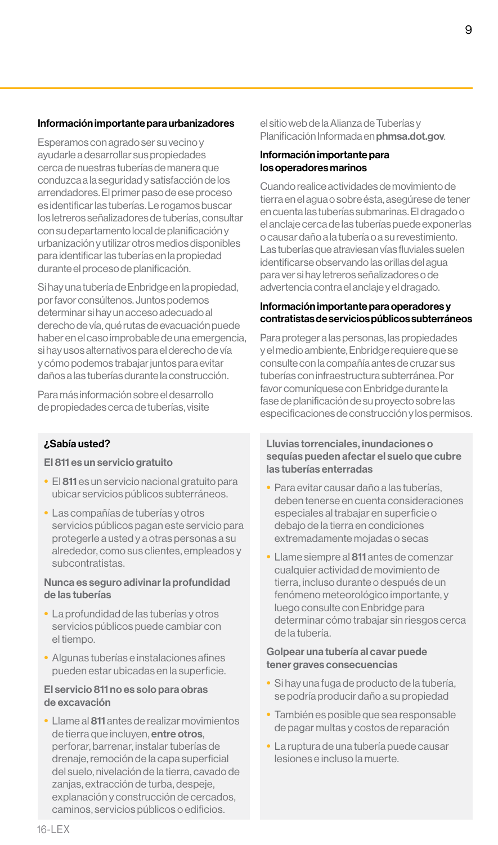#### Información importante para urbanizadores

Esperamos con agrado ser su vecino y ayudarle a desarrollar sus propiedades cerca de nuestras tuberías de manera que conduzca a la seguridad y satisfacción de los arrendadores. El primer paso de ese proceso es identificar las tuberías. Le rogamos buscar los letreros señalizadores de tuberías, consultar con su departamento local de planificación y urbanización y utilizar otros medios disponibles para identificar las tuberías en la propiedad durante el proceso de planificación.

Si hay una tubería de Enbridge en la propiedad, por favor consúltenos. Juntos podemos determinar si hay un acceso adecuado al derecho de vía, qué rutas de evacuación puede haber en el caso improbable de una emergencia, si hay usos alternativos para el derecho de vía y cómo podemos trabajar juntos para evitar daños a las tuberías durante la construcción.

Para más información sobre el desarrollo de propiedades cerca de tuberías, visite

#### ¿Sabía usted?

#### El 811 es un servicio gratuito

- El 811 es un servicio nacional gratuito para ubicar servicios públicos subterráneos.
- Las compañías de tuberías y otros servicios públicos pagan este servicio para protegerle a usted y a otras personas a su alrededor, como sus clientes, empleados y subcontratistas.

#### Nunca es seguro adivinar la profundidad de las tuberías

- La profundidad de las tuberías y otros servicios públicos puede cambiar con el tiempo.
- Algunas tuberías e instalaciones afines pueden estar ubicadas en la superficie.

#### El servicio 811 no es solo para obras de excavación

• Llame al 811 antes de realizar movimientos de tierra que incluyen, entre otros, perforar, barrenar, instalar tuberías de drenaje, remoción de la capa superficial del suelo, nivelación de la tierra, cavado de zanjas, extracción de turba, despeje, explanación y construcción de cercados, caminos, servicios públicos o edificios.

el sitio web de la Alianza de Tuberías y Planificación Informada en phmsa.dot.gov.

#### Información importante para los operadores marinos

Cuando realice actividades de movimiento de tierra en el agua o sobre ésta, asegúrese de tener en cuenta las tuberías submarinas. El dragado o el anclaje cerca de las tuberías puede exponerlas o causar daño a la tubería o a su revestimiento. Las tuberías que atraviesan vías fluviales suelen identificarse observando las orillas del agua para ver si hay letreros señalizadores o de advertencia contra el anclaje y el dragado.

#### Información importante para operadores y contratistas de servicios públicos subterráneos

Para proteger a las personas, las propiedades y el medio ambiente, Enbridge requiere que se consulte con la compañía antes de cruzar sus tuberías con infraestructura subterránea. Por favor comuníquese con Enbridge durante la fase de planificación de su proyecto sobre las especificaciones de construcción y los permisos.

Lluvias torrenciales, inundaciones o sequías pueden afectar el suelo que cubre las tuberías enterradas

- Para evitar causar daño a las tuberías, deben tenerse en cuenta consideraciones especiales al trabajar en superficie o debajo de la tierra en condiciones extremadamente mojadas o secas
- Llame siempre al 811 antes de comenzar cualquier actividad de movimiento de tierra, incluso durante o después de un fenómeno meteorológico importante, y luego consulte con Enbridge para determinar cómo trabajar sin riesgos cerca de la tubería.

#### Golpear una tubería al cavar puede tener graves consecuencias

- Si hay una fuga de producto de la tubería, se podría producir daño a su propiedad
- También es posible que sea responsable de pagar multas y costos de reparación
- La ruptura de una tubería puede causar lesiones e incluso la muerte.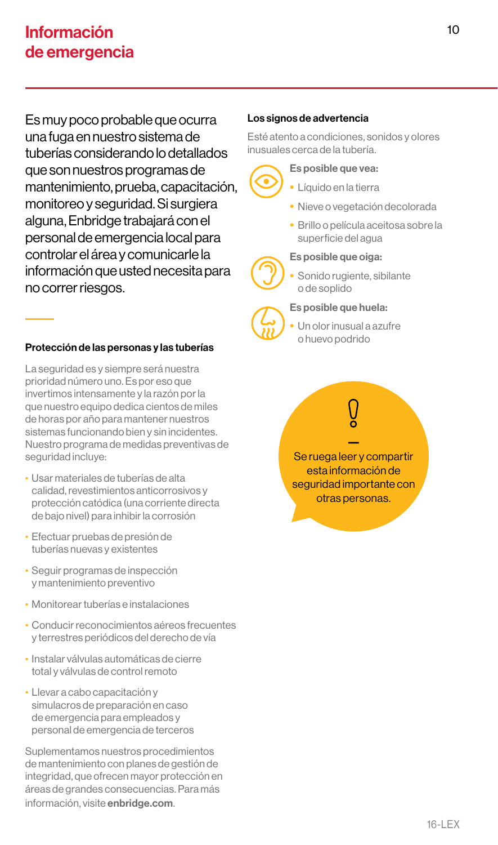Es muy poco probable que ocurra una fuga en nuestro sistema de tuberías considerando lo detallados que son nuestros programas de mantenimiento, prueba, capacitación, monitoreo y seguridad. Si surgiera alguna, Enbridge trabajará con el personal de emergencia local para controlar el área y comunicarle la información que usted necesita para no correr riesgos.

## Protección de las personas y las tuberías

La seguridad es y siempre será nuestra prioridad número uno. Es por eso que invertimos intensamente y la razón por la que nuestro equipo dedica cientos de miles de horas por año para mantener nuestros sistemas funcionando bien y sin incidentes. Nuestro programa de medidas preventivas de seguridad incluye:

- Usar materiales de tuberías de alta calidad, revestimientos anticorrosivos y protección catódica (una corriente directa de bajo nivel) para inhibir la corrosión
- Efectuar pruebas de presión de tuberías nuevas y existentes
- Seguir programas de inspección y mantenimiento preventivo
- Monitorear tuberías e instalaciones
- Conducir reconocimientos aéreos frecuentes y terrestres periódicos del derecho de vía
- Instalar válvulas automáticas de cierre total y válvulas de control remoto
- Llevar a cabo capacitación y simulacros de preparación en caso de emergencia para empleados y personal de emergencia de terceros

Suplementamos nuestros procedimientos de mantenimiento con planes de gestión de integridad, que ofrecen mayor protección en áreas de grandes consecuencias. Para más información, visite enbridge.com.

## Los signos de advertencia

Esté atento a condiciones, sonidos y olores inusuales cerca de la tubería.



- Es posible que vea:
	- Líquido en la tierra
- Nieve o vegetación decolorada
- Brillo o película aceitosa sobre la superficie del agua

#### Es posible que oiga:



Sonido rugiente, sibilante o de soplido

#### Es posible que huela:



Un olor inusual a azufre o huevo podrido

— Se ruega leer y compartir esta información de seguridad importante con otras personas.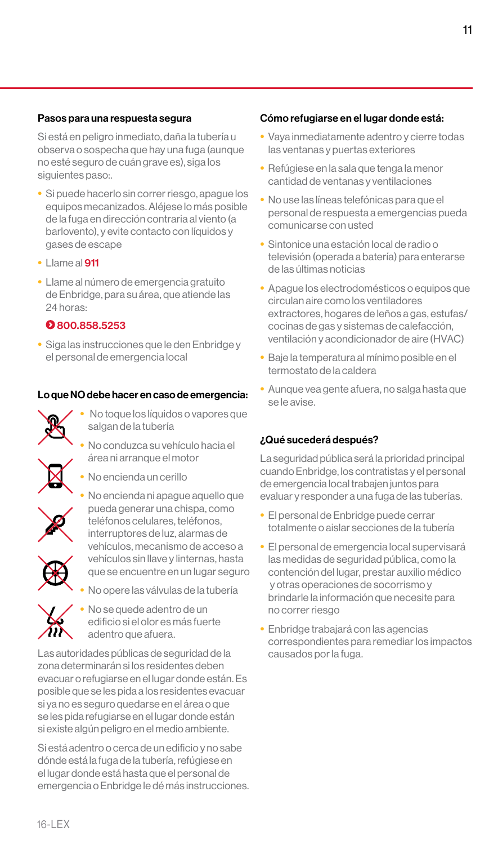#### Pasos para una respuesta segura

Si está en peligro inmediato, daña la tubería u observa o sospecha que hay una fuga (aunque no esté seguro de cuán grave es), siga los siguientes paso:.

- Si puede hacerlo sin correr riesgo, apague los equipos mecanizados. Aléjese lo más posible de la fuga en dirección contraria al viento (a barlovento), y evite contacto con líquidos y gases de escape
- Llame al 911
- Llame al número de emergencia gratuito de Enbridge, para su área, que atiende las 24 horas:

#### 8800.858.5253

• Siga las instrucciones que le den Enbridge y el personal de emergencia local

#### Lo que NO debe hacer en caso de emergencia:



- No toque los líquidos o vapores que salgan de la tubería
- No conduzca su vehículo hacia el área ni arranque el motor
- No encienda un cerillo



- No encienda ni apague aquello que pueda generar una chispa, como teléfonos celulares, teléfonos, interruptores de luz, alarmas de vehículos, mecanismo de acceso a vehículos sin llave y linternas, hasta que se encuentre en un lugar seguro
- 
- 

• No opere las válvulas de la tubería

• No se quede adentro de un edificio si el olor es más fuerte adentro que afuera.

Las autoridades públicas de seguridad de la zona determinarán si los residentes deben evacuar o refugiarse en el lugar donde están. Es posible que se les pida a los residentes evacuar si ya no es seguro quedarse en el área o que se les pida refugiarse en el lugar donde están si existe algún peligro en el medio ambiente.

Si está adentro o cerca de un edificio y no sabe dónde está la fuga de la tubería, refúgiese en el lugar donde está hasta que el personal de emergencia o Enbridge le dé más instrucciones.

#### Cómo refugiarse en el lugar donde está:

- Vaya inmediatamente adentro y cierre todas las ventanas y puertas exteriores
- Refúgiese en la sala que tenga la menor cantidad de ventanas y ventilaciones
- No use las líneas telefónicas para que el personal de respuesta a emergencias pueda comunicarse con usted
- Sintonice una estación local de radio o televisión (operada a batería) para enterarse de las últimas noticias
- Apague los electrodomésticos o equipos que circulan aire como los ventiladores extractores, hogares de leños a gas, estufas/ cocinas de gas y sistemas de calefacción, ventilación y acondicionador de aire (HVAC)
- Baje la temperatura al mínimo posible en el termostato de la caldera
- Aunque vea gente afuera, no salga hasta que se le avise.

#### ¿Qué sucederá después?

La seguridad pública será la prioridad principal cuando Enbridge, los contratistas y el personal de emergencia local trabajen juntos para evaluar y responder a una fuga de las tuberías.

- El personal de Enbridge puede cerrar totalmente o aislar secciones de la tubería
- El personal de emergencia local supervisará las medidas de seguridad pública, como la contención del lugar, prestar auxilio médico y otras operaciones de socorrismo y brindarle la información que necesite para no correr riesgo
- Enbridge trabajará con las agencias correspondientes para remediar los impactos causados por la fuga.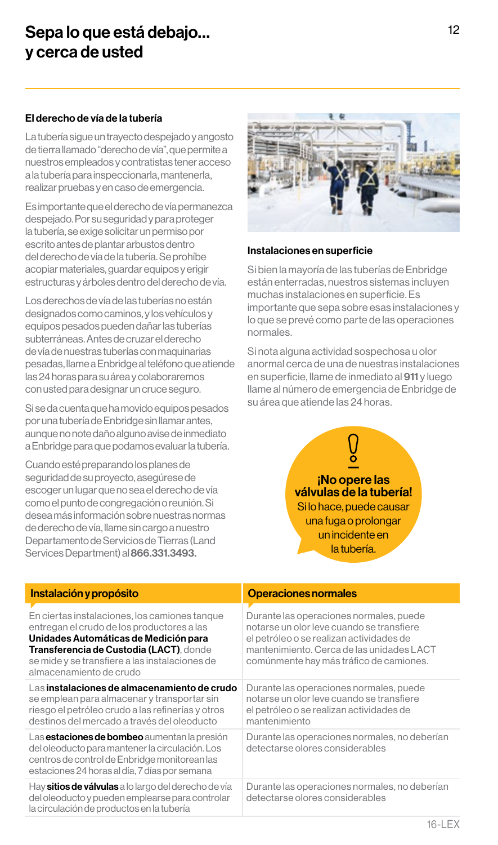# Sepa lo que está debajo… y cerca de usted

### El derecho de vía de la tubería

La tubería sigue un trayecto despejado y angosto de tierra llamado "derecho de vía", que permite a nuestros empleados y contratistas tener acceso a la tubería para inspeccionarla, mantenerla, realizar pruebas y en caso de emergencia.

Es importante que el derecho de vía permanezca despejado. Por su seguridad y para proteger la tubería, se exige solicitar un permiso por escrito antes de plantar arbustos dentro del derecho de vía de la tubería. Se prohíbe acopiar materiales, guardar equipos y erigir estructuras y árboles dentro del derecho de vía.

Los derechos de vía de las tuberías no están designados como caminos, y los vehículos y equipos pesados pueden dañar las tuberías subterráneas. Antes de cruzar el derecho de vía de nuestras tuberías con maquinarias pesadas, llame a Enbridge al teléfono que atiende las 24 horas para su área y colaboraremos con usted para designar un cruce seguro.

Si se da cuenta que ha movido equipos pesados por una tubería de Enbridge sin llamar antes, aunque no note daño alguno avise de inmediato a Enbridge para que podamos evaluar la tubería.

Cuando esté preparando los planes de seguridad de su proyecto, asegúrese de escoger un lugar que no sea el derecho de vía como el punto de congregación o reunión. Si desea más información sobre nuestras normas de derecho de vía, llame sin cargo a nuestro Departamento de Servicios de Tierras (Land Services Department) al 866.331.3493.



#### Instalaciones en superficie

Si bien la mayoría de las tuberías de Enbridge están enterradas, nuestros sistemas incluyen muchas instalaciones en superficie. Es importante que sepa sobre esas instalaciones y lo que se prevé como parte de las operaciones normales.

Si nota alguna actividad sospechosa u olor anormal cerca de una de nuestras instalaciones en superficie, llame de inmediato al 911 y luego llame al número de emergencia de Enbridge de su área que atiende las 24 horas.

> — ¡No opere las válvulas de la tubería! Si lo hace, puede causar una fuga o prolongar un incidente en la tubería.

| Instalación y propósito                                                                                                                                                                                                                                      | <b>Operaciones normales</b>                                                                                                                                                                                              |
|--------------------------------------------------------------------------------------------------------------------------------------------------------------------------------------------------------------------------------------------------------------|--------------------------------------------------------------------------------------------------------------------------------------------------------------------------------------------------------------------------|
| En ciertas instalaciones, los camiones tanque<br>entregan el crudo de los productores a las<br>Unidades Automáticas de Medición para<br>Transferencia de Custodia (LACT), donde<br>se mide y se transfiere a las instalaciones de<br>almacenamiento de crudo | Durante las operaciones normales, puede<br>notarse un olor leve cuando se transfiere<br>el petróleo o se realizan actividades de<br>mantenimiento. Cerca de las unidades LACT<br>comúnmente hay más tráfico de camiones. |
| Las instalaciones de almacenamiento de crudo<br>se emplean para almacenar y transportar sin<br>riesgo el petróleo crudo a las refinerías y otros<br>destinos del mercado a través del oleoducto                                                              | Durante las operaciones normales, puede<br>notarse un olor leve cuando se transfiere<br>el petróleo o se realizan actividades de<br>mantenimiento                                                                        |
| Las <b>estaciones de bombeo</b> aumentan la presión<br>del oleoducto para mantener la circulación. Los<br>centros de control de Enbridge monitorean las<br>estaciones 24 horas al día, 7 días por semana                                                     | Durante las operaciones normales, no deberían<br>detectarse olores considerables                                                                                                                                         |
| Hay sitios de válvulas a lo largo del derecho de vía<br>del oleoducto y pueden emplearse para controlar<br>la circulación de productos en la tubería                                                                                                         | Durante las operaciones normales, no deberían<br>detectarse olores considerables                                                                                                                                         |